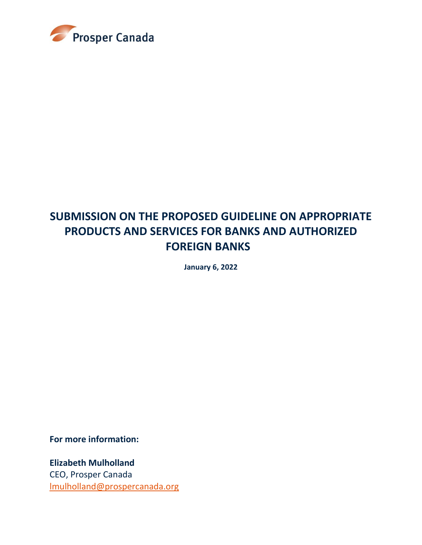

# **SUBMISSION ON THE PROPOSED GUIDELINE ON APPROPRIATE PRODUCTS AND SERVICES FOR BANKS AND AUTHORIZED FOREIGN BANKS**

**January 6, 2022**

**For more information:**

**Elizabeth Mulholland** CEO, Prosper Canada [lmulholland@prospercanada.org](mailto:lmulholland@prospercanada.org)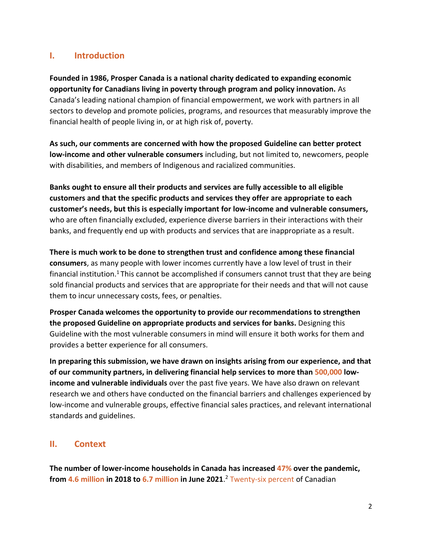# **I. Introduction**

**Founded in 1986, Prosper Canada is a national charity dedicated to expanding economic opportunity for Canadians living in poverty through program and policy innovation.** As Canada's leading national champion of financial empowerment, we work with partners in all sectors to develop and promote policies, programs, and resources that measurably improve the financial health of people living in, or at high risk of, poverty.

**As such, our comments are concerned with how the proposed Guideline can better protect low-income and other vulnerable consumers** including, but not limited to, newcomers, people with disabilities, and members of Indigenous and racialized communities.

**Banks ought to ensure all their products and services are fully accessible to all eligible customers and that the specific products and services they offer are appropriate to each customer's needs, but this is especially important for low-income and vulnerable consumers,**  who are often financially excluded, experience diverse barriers in their interactions with their banks, and frequently end up with products and services that are inappropriate as a result.

**There is much work to be done to strengthen trust and confidence among these financial consumers**, as many people with lower incomes currently have a low level of trust in their financial institution.<sup>1</sup> This cannot be accomplished if consumers cannot trust that they are being sold financial products and services that are appropriate for their needs and that will not cause them to incur unnecessary costs, fees, or penalties.

**Prosper Canada welcomes the opportunity to provide our recommendations to strengthen the proposed Guideline on appropriate products and services for banks.** Designing this Guideline with the most vulnerable consumers in mind will ensure it both works for them and provides a better experience for all consumers.

**In preparing this submission, we have drawn on insights arising from our experience, and that of our community partners, in delivering financial help services to more than 500,000 lowincome and vulnerable individuals** over the past five years. We have also drawn on relevant research we and others have conducted on the financial barriers and challenges experienced by low-income and vulnerable groups, effective financial sales practices, and relevant international standards and guidelines.

# **II. Context**

**The number of lower-income households in Canada has increased 47% over the pandemic, from 4.6 million in 2018 to 6.7 million in June 2021**. <sup>2</sup> Twenty-six percent of Canadian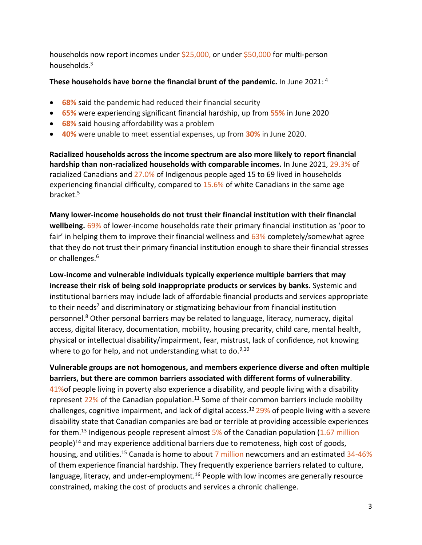households now report incomes under \$25,000, or under \$50,000 for multi-person households.<sup>3</sup>

#### **These households have borne the financial brunt of the pandemic.** In June 2021: <sup>4</sup>

- **68%** said the pandemic had reduced their financial security
- **65%** were experiencing significant financial hardship, up from **55%** in June 2020
- **68%** said housing affordability was a problem
- **40%** were unable to meet essential expenses, up from **30%** in June 2020.

**Racialized households across the income spectrum are also more likely to report financial hardship than non-racialized households with comparable incomes.** In June 2021, 29.3% of racialized Canadians and 27.0% of Indigenous people aged 15 to 69 lived in households experiencing financial difficulty, compared to 15.6% of white Canadians in the same age bracket. 5

**Many lower-income households do not trust their financial institution with their financial wellbeing.** 69% of lower-income households rate their primary financial institution as 'poor to fair' in helping them to improve their financial wellness and 63% completely/somewhat agree that they do not trust their primary financial institution enough to share their financial stresses or challenges.<sup>6</sup>

**Low-income and vulnerable individuals typically experience multiple barriers that may increase their risk of being sold inappropriate products or services by banks.** Systemic and institutional barriers may include lack of affordable financial products and services appropriate to their needs<sup>7</sup> and discriminatory or stigmatizing behaviour from financial institution personnel. <sup>8</sup> Other personal barriers may be related to language, literacy, numeracy, digital access, digital literacy, documentation, mobility, housing precarity, child care, mental health, physical or intellectual disability/impairment, fear, mistrust, lack of confidence, not knowing where to go for help, and not understanding what to do.<sup>9,10</sup>

**Vulnerable groups are not homogenous, and members experience diverse and often multiple barriers, but there are common barriers associated with different forms of vulnerability**. 41%of people living in poverty also experience a disability, and people living with a disability represent  $22\%$  of the Canadian population.<sup>11</sup> Some of their common barriers include mobility challenges, cognitive impairment, and lack of digital access.<sup>12</sup> 29% of people living with a severe disability state that Canadian companies are bad or terrible at providing accessible experiences for them.<sup>13</sup> Indigenous people represent almost  $5\%$  of the Canadian population (1.67 million people)<sup>14</sup> and may experience additional barriers due to remoteness, high cost of goods, housing, and utilities.<sup>15</sup> Canada is home to about 7 million newcomers and an estimated 34-46% of them experience financial hardship. They frequently experience barriers related to culture, language, literacy, and under-employment.<sup>16</sup> People with low incomes are generally resource constrained, making the cost of products and services a chronic challenge.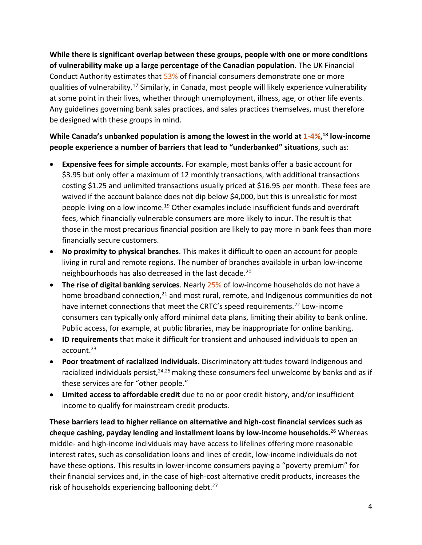**While there is significant overlap between these groups, people with one or more conditions of vulnerability make up a large percentage of the Canadian population.** The UK Financial Conduct Authority estimates that 53% of financial consumers demonstrate one or more qualities of vulnerability.<sup>17</sup> Similarly, in Canada, most people will likely experience vulnerability at some point in their lives, whether through unemployment, illness, age, or other life events. Any guidelines governing bank sales practices, and sales practices themselves, must therefore be designed with these groups in mind.

# **While Canada's unbanked population is among the lowest in the world at 1-4%, <sup>18</sup> low-income people experience a number of barriers that lead to "underbanked" situations**, such as:

- **Expensive fees for simple accounts.** For example, most banks offer a basic account for \$3.95 but only offer a maximum of 12 monthly transactions, with additional transactions costing \$1.25 and unlimited transactions usually priced at \$16.95 per month. These fees are waived if the account balance does not dip below \$4,000, but this is unrealistic for most people living on a low income.<sup>19</sup> Other examples include insufficient funds and overdraft fees, which financially vulnerable consumers are more likely to incur. The result is that those in the most precarious financial position are likely to pay more in bank fees than more financially secure customers.
- **No proximity to physical branches**. This makes it difficult to open an account for people living in rural and remote regions. The number of branches available in urban low-income neighbourhoods has also decreased in the last decade. 20
- **The rise of digital banking services**. Nearly 25% of low-income households do not have a home broadband connection, $21$  and most rural, remote, and Indigenous communities do not have internet connections that meet the CRTC's speed requirements.<sup>22</sup> Low-income consumers can typically only afford minimal data plans, limiting their ability to bank online. Public access, for example, at public libraries, may be inappropriate for online banking.
- **ID requirements** that make it difficult for transient and unhoused individuals to open an account. 23
- **Poor treatment of racialized individuals.** Discriminatory attitudes toward Indigenous and racialized individuals persist,<sup>24,25</sup> making these consumers feel unwelcome by banks and as if these services are for "other people."
- **Limited access to affordable credit** due to no or poor credit history, and/or insufficient income to qualify for mainstream credit products.

**These barriers lead to higher reliance on alternative and high-cost financial services such as cheque cashing, payday lending and installment loans by low-income households.** <sup>26</sup> Whereas middle- and high-income individuals may have access to lifelines offering more reasonable interest rates, such as consolidation loans and lines of credit, low-income individuals do not have these options. This results in lower-income consumers paying a "poverty premium" for their financial services and, in the case of high-cost alternative credit products, increases the risk of households experiencing ballooning debt.<sup>27</sup>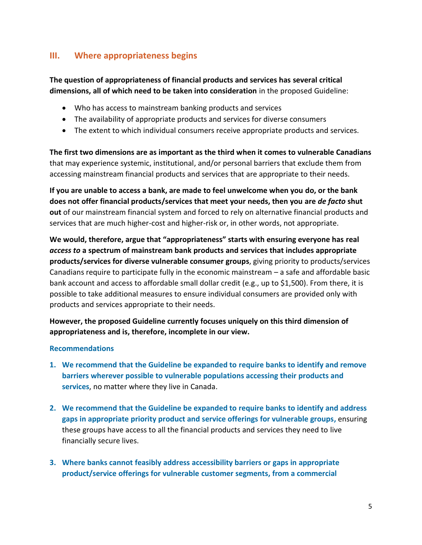# **III. Where appropriateness begins**

**The question of appropriateness of financial products and services has several critical dimensions, all of which need to be taken into consideration** in the proposed Guideline:

- Who has access to mainstream banking products and services
- The availability of appropriate products and services for diverse consumers
- The extent to which individual consumers receive appropriate products and services.

**The first two dimensions are as important as the third when it comes to vulnerable Canadians** that may experience systemic, institutional, and/or personal barriers that exclude them from accessing mainstream financial products and services that are appropriate to their needs.

**If you are unable to access a bank, are made to feel unwelcome when you do, or the bank does not offer financial products/services that meet your needs, then you are** *de facto* **shut out** of our mainstream financial system and forced to rely on alternative financial products and services that are much higher-cost and higher-risk or, in other words, not appropriate.

**We would, therefore, argue that "appropriateness" starts with ensuring everyone has real**  *access to* **a spectrum of mainstream bank products and services that includes appropriate products/services for diverse vulnerable consumer groups**, giving priority to products/services Canadians require to participate fully in the economic mainstream – a safe and affordable basic bank account and access to affordable small dollar credit (e.g., up to \$1,500). From there, it is possible to take additional measures to ensure individual consumers are provided only with products and services appropriate to their needs.

**However, the proposed Guideline currently focuses uniquely on this third dimension of appropriateness and is, therefore, incomplete in our view.** 

#### **Recommendations**

- **1. We recommend that the Guideline be expanded to require banks to identify and remove barriers wherever possible to vulnerable populations accessing their products and services**, no matter where they live in Canada.
- **2. We recommend that the Guideline be expanded to require banks to identify and address gaps in appropriate priority product and service offerings for vulnerable groups,** ensuring these groups have access to all the financial products and services they need to live financially secure lives.
- **3. Where banks cannot feasibly address accessibility barriers or gaps in appropriate product/service offerings for vulnerable customer segments, from a commercial**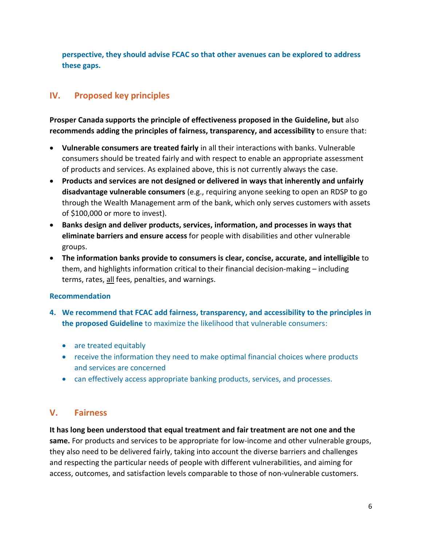**perspective, they should advise FCAC so that other avenues can be explored to address these gaps.** 

# **IV. Proposed key principles**

**Prosper Canada supports the principle of effectiveness proposed in the Guideline, but** also **recommends adding the principles of fairness, transparency, and accessibility** to ensure that:

- **Vulnerable consumers are treated fairly** in all their interactions with banks. Vulnerable consumers should be treated fairly and with respect to enable an appropriate assessment of products and services. As explained above, this is not currently always the case.
- **Products and services are not designed or delivered in ways that inherently and unfairly disadvantage vulnerable consumers** (e.g., requiring anyone seeking to open an RDSP to go through the Wealth Management arm of the bank, which only serves customers with assets of \$100,000 or more to invest).
- **Banks design and deliver products, services, information, and processes in ways that eliminate barriers and ensure access** for people with disabilities and other vulnerable groups.
- **The information banks provide to consumers is clear, concise, accurate, and intelligible** to them, and highlights information critical to their financial decision-making – including terms, rates, all fees, penalties, and warnings.

#### **Recommendation**

- **4. We recommend that FCAC add fairness, transparency, and accessibility to the principles in the proposed Guideline** to maximize the likelihood that vulnerable consumers:
	- are treated equitably
	- receive the information they need to make optimal financial choices where products and services are concerned
	- can effectively access appropriate banking products, services, and processes.

# **V. Fairness**

**It has long been understood that equal treatment and fair treatment are not one and the same.** For products and services to be appropriate for low-income and other vulnerable groups, they also need to be delivered fairly, taking into account the diverse barriers and challenges and respecting the particular needs of people with different vulnerabilities, and aiming for access, outcomes, and satisfaction levels comparable to those of non-vulnerable customers.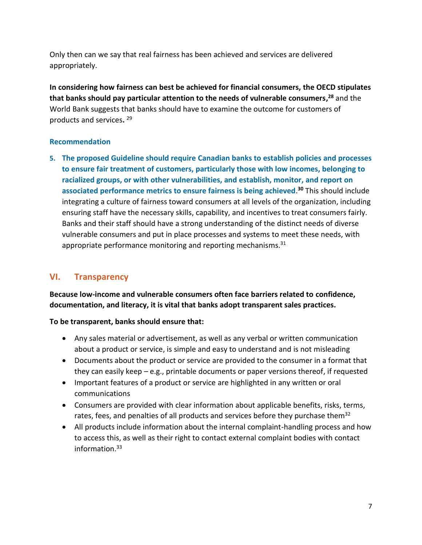Only then can we say that real fairness has been achieved and services are delivered appropriately.

**In considering how fairness can best be achieved for financial consumers, the OECD stipulates that banks should pay particular attention to the needs of vulnerable consumers, <sup>28</sup>** and the World Bank suggests that banks should have to examine the outcome for customers of products and services**.**  29

#### **Recommendation**

**5. The proposed Guideline should require Canadian banks to establish policies and processes to ensure fair treatment of customers, particularly those with low incomes, belonging to racialized groups, or with other vulnerabilities, and establish, monitor, and report on associated performance metrics to ensure fairness is being achieved**. **<sup>30</sup>** This should include integrating a culture of fairness toward consumers at all levels of the organization, including ensuring staff have the necessary skills, capability, and incentives to treat consumers fairly. Banks and their staff should have a strong understanding of the distinct needs of diverse vulnerable consumers and put in place processes and systems to meet these needs, with appropriate performance monitoring and reporting mechanisms.<sup>31</sup>

# **VI. Transparency**

**Because low-income and vulnerable consumers often face barriers related to confidence, documentation, and literacy, it is vital that banks adopt transparent sales practices.**

#### **To be transparent, banks should ensure that:**

- Any sales material or advertisement, as well as any verbal or written communication about a product or service, is simple and easy to understand and is not misleading
- Documents about the product or service are provided to the consumer in a format that they can easily keep  $-e.g.,$  printable documents or paper versions thereof, if requested
- Important features of a product or service are highlighted in any written or oral communications
- Consumers are provided with clear information about applicable benefits, risks, terms, rates, fees, and penalties of all products and services before they purchase them<sup>32</sup>
- All products include information about the internal complaint-handling process and how to access this, as well as their right to contact external complaint bodies with contact information. 33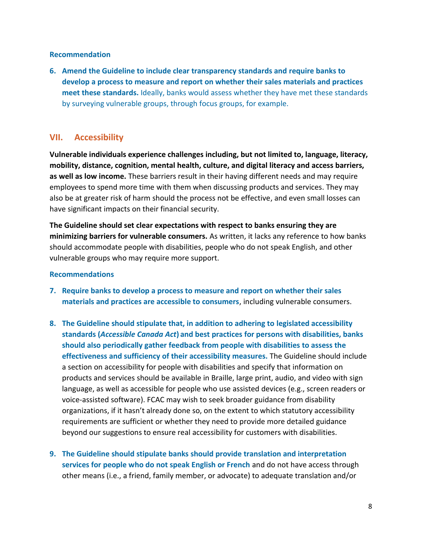#### **Recommendation**

**6. Amend the Guideline to include clear transparency standards and require banks to develop a process to measure and report on whether their sales materials and practices meet these standards.** Ideally, banks would assess whether they have met these standards by surveying vulnerable groups, through focus groups, for example.

#### **VII. Accessibility**

**Vulnerable individuals experience challenges including, but not limited to, language, literacy, mobility, distance, cognition, mental health, culture, and digital literacy and access barriers, as well as low income.** These barriers result in their having different needs and may require employees to spend more time with them when discussing products and services. They may also be at greater risk of harm should the process not be effective, and even small losses can have significant impacts on their financial security.

**The Guideline should set clear expectations with respect to banks ensuring they are minimizing barriers for vulnerable consumers.** As written, it lacks any reference to how banks should accommodate people with disabilities, people who do not speak English, and other vulnerable groups who may require more support.

#### **Recommendations**

- **7. Require banks to develop a process to measure and report on whether their sales materials and practices are accessible to consumers**, including vulnerable consumers.
- **8. The Guideline should stipulate that, in addition to adhering to legislated accessibility standards (***Accessible Canada Act***) and best practices for persons with disabilities, banks should also periodically gather feedback from people with disabilities to assess the effectiveness and sufficiency of their accessibility measures.** The Guideline should include a section on accessibility for people with disabilities and specify that information on products and services should be available in Braille, large print, audio, and video with sign language, as well as accessible for people who use assisted devices (e.g., screen readers or voice-assisted software). FCAC may wish to seek broader guidance from disability organizations, if it hasn't already done so, on the extent to which statutory accessibility requirements are sufficient or whether they need to provide more detailed guidance beyond our suggestions to ensure real accessibility for customers with disabilities.
- **9. The Guideline should stipulate banks should provide translation and interpretation services for people who do not speak English or French** and do not have access through other means (i.e., a friend, family member, or advocate) to adequate translation and/or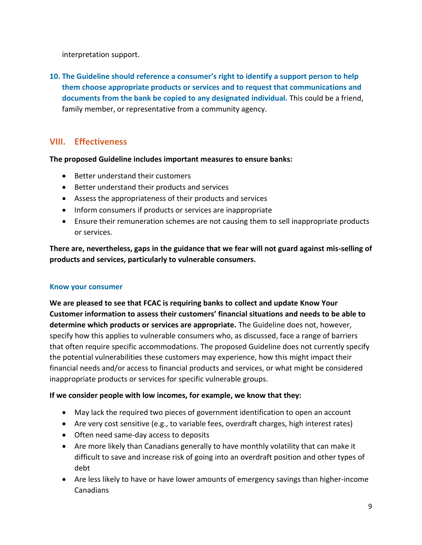interpretation support.

**10. The Guideline should reference a consumer's right to identify a support person to help them choose appropriate products or services and to request that communications and documents from the bank be copied to any designated individual.** This could be a friend, family member, or representative from a community agency.

# **VIII. Effectiveness**

#### **The proposed Guideline includes important measures to ensure banks:**

- Better understand their customers
- Better understand their products and services
- Assess the appropriateness of their products and services
- Inform consumers if products or services are inappropriate
- Ensure their remuneration schemes are not causing them to sell inappropriate products or services.

**There are, nevertheless, gaps in the guidance that we fear will not guard against mis-selling of products and services, particularly to vulnerable consumers.**

#### **Know your consumer**

**We are pleased to see that FCAC is requiring banks to collect and update Know Your Customer information to assess their customers' financial situations and needs to be able to determine which products or services are appropriate.** The Guideline does not, however, specify how this applies to vulnerable consumers who, as discussed, face a range of barriers that often require specific accommodations. The proposed Guideline does not currently specify the potential vulnerabilities these customers may experience, how this might impact their financial needs and/or access to financial products and services, or what might be considered inappropriate products or services for specific vulnerable groups.

#### **If we consider people with low incomes, for example, we know that they:**

- May lack the required two pieces of government identification to open an account
- Are very cost sensitive (e.g., to variable fees, overdraft charges, high interest rates)
- Often need same-day access to deposits
- Are more likely than Canadians generally to have monthly volatility that can make it difficult to save and increase risk of going into an overdraft position and other types of debt
- Are less likely to have or have lower amounts of emergency savings than higher-income Canadians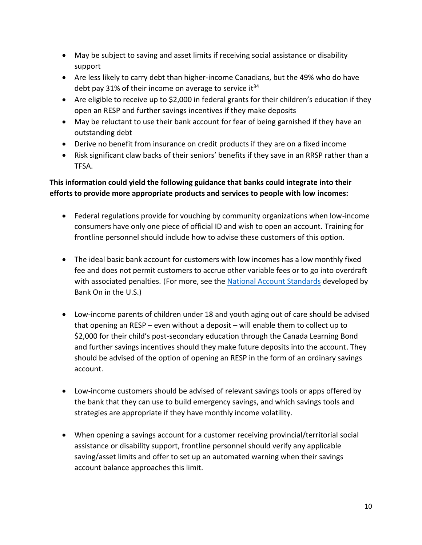- May be subject to saving and asset limits if receiving social assistance or disability support
- Are less likely to carry debt than higher-income Canadians, but the 49% who do have debt pay 31% of their income on average to service it<sup>34</sup>
- Are eligible to receive up to \$2,000 in federal grants for their children's education if they open an RESP and further savings incentives if they make deposits
- May be reluctant to use their bank account for fear of being garnished if they have an outstanding debt
- Derive no benefit from insurance on credit products if they are on a fixed income
- Risk significant claw backs of their seniors' benefits if they save in an RRSP rather than a TFSA.

# **This information could yield the following guidance that banks could integrate into their efforts to provide more appropriate products and services to people with low incomes:**

- Federal regulations provide for vouching by community organizations when low-income consumers have only one piece of official ID and wish to open an account. Training for frontline personnel should include how to advise these customers of this option.
- The ideal basic bank account for customers with low incomes has a low monthly fixed fee and does not permit customers to accrue other variable fees or to go into overdraft with associated penalties. (For more, see the [National Account Standards](https://2wvkof1mfraz2etgea1p8kiy-wpengine.netdna-ssl.com/wp-content/uploads/2020/10/Bank-On-National-Account-Standards-2021-2022.pdf) developed by Bank On in the U.S.)
- Low-income parents of children under 18 and youth aging out of care should be advised that opening an RESP – even without a deposit – will enable them to collect up to \$2,000 for their child's post-secondary education through the Canada Learning Bond and further savings incentives should they make future deposits into the account. They should be advised of the option of opening an RESP in the form of an ordinary savings account.
- Low-income customers should be advised of relevant savings tools or apps offered by the bank that they can use to build emergency savings, and which savings tools and strategies are appropriate if they have monthly income volatility.
- When opening a savings account for a customer receiving provincial/territorial social assistance or disability support, frontline personnel should verify any applicable saving/asset limits and offer to set up an automated warning when their savings account balance approaches this limit.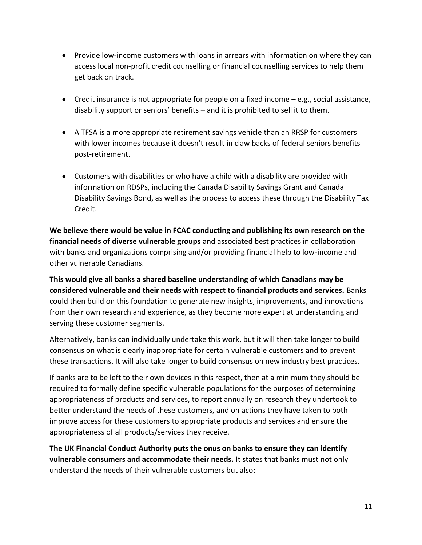- Provide low-income customers with loans in arrears with information on where they can access local non-profit credit counselling or financial counselling services to help them get back on track.
- Credit insurance is not appropriate for people on a fixed income  $-e.g.,$  social assistance, disability support or seniors' benefits – and it is prohibited to sell it to them.
- A TFSA is a more appropriate retirement savings vehicle than an RRSP for customers with lower incomes because it doesn't result in claw backs of federal seniors benefits post-retirement.
- Customers with disabilities or who have a child with a disability are provided with information on RDSPs, including the Canada Disability Savings Grant and Canada Disability Savings Bond, as well as the process to access these through the Disability Tax Credit.

**We believe there would be value in FCAC conducting and publishing its own research on the financial needs of diverse vulnerable groups** and associated best practices in collaboration with banks and organizations comprising and/or providing financial help to low-income and other vulnerable Canadians.

**This would give all banks a shared baseline understanding of which Canadians may be considered vulnerable and their needs with respect to financial products and services.** Banks could then build on this foundation to generate new insights, improvements, and innovations from their own research and experience, as they become more expert at understanding and serving these customer segments.

Alternatively, banks can individually undertake this work, but it will then take longer to build consensus on what is clearly inappropriate for certain vulnerable customers and to prevent these transactions. It will also take longer to build consensus on new industry best practices.

If banks are to be left to their own devices in this respect, then at a minimum they should be required to formally define specific vulnerable populations for the purposes of determining appropriateness of products and services, to report annually on research they undertook to better understand the needs of these customers, and on actions they have taken to both improve access for these customers to appropriate products and services and ensure the appropriateness of all products/services they receive.

**The UK Financial Conduct Authority puts the onus on banks to ensure they can identify vulnerable consumers and accommodate their needs.** It states that banks must not only understand the needs of their vulnerable customers but also: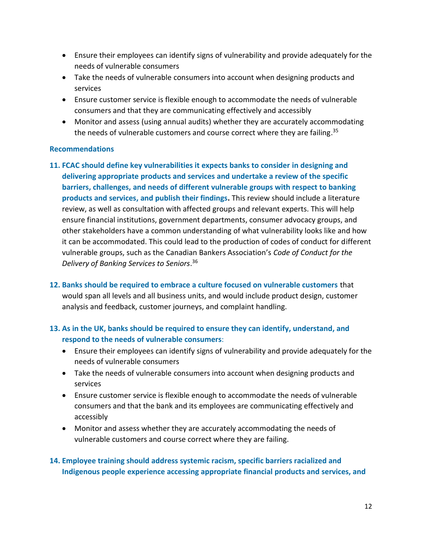- Ensure their employees can identify signs of vulnerability and provide adequately for the needs of vulnerable consumers
- Take the needs of vulnerable consumers into account when designing products and services
- Ensure customer service is flexible enough to accommodate the needs of vulnerable consumers and that they are communicating effectively and accessibly
- Monitor and assess (using annual audits) whether they are accurately accommodating the needs of vulnerable customers and course correct where they are failing.<sup>35</sup>

#### **Recommendations**

- **11. FCAC should define key vulnerabilities it expects banks to consider in designing and delivering appropriate products and services and undertake a review of the specific barriers, challenges, and needs of different vulnerable groups with respect to banking products and services, and publish their findings.** This review should include a literature review, as well as consultation with affected groups and relevant experts. This will help ensure financial institutions, government departments, consumer advocacy groups, and other stakeholders have a common understanding of what vulnerability looks like and how it can be accommodated. This could lead to the production of codes of conduct for different vulnerable groups, such as the Canadian Bankers Association's *Code of Conduct for the Delivery of Banking Services to Seniors*. 36
- **12. Banks should be required to embrace a culture focused on vulnerable customers** that would span all levels and all business units, and would include product design, customer analysis and feedback, customer journeys, and complaint handling.

#### **13. As in the UK, banks should be required to ensure they can identify, understand, and respond to the needs of vulnerable consumers**:

- Ensure their employees can identify signs of vulnerability and provide adequately for the needs of vulnerable consumers
- Take the needs of vulnerable consumers into account when designing products and services
- Ensure customer service is flexible enough to accommodate the needs of vulnerable consumers and that the bank and its employees are communicating effectively and accessibly
- Monitor and assess whether they are accurately accommodating the needs of vulnerable customers and course correct where they are failing.

## **14. Employee training should address systemic racism, specific barriers racialized and Indigenous people experience accessing appropriate financial products and services, and**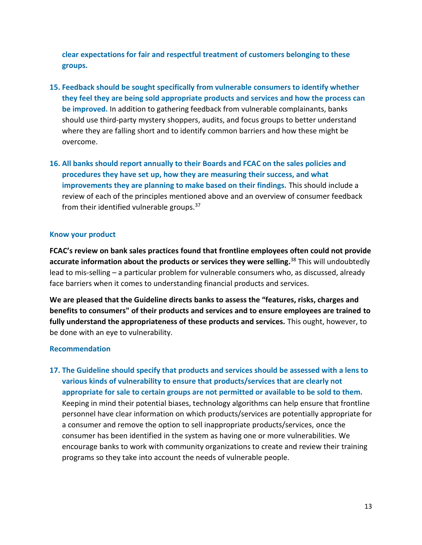**clear expectations for fair and respectful treatment of customers belonging to these groups.**

- **15. Feedback should be sought specifically from vulnerable consumers to identify whether they feel they are being sold appropriate products and services and how the process can be improved.** In addition to gathering feedback from vulnerable complainants, banks should use third-party mystery shoppers, audits, and focus groups to better understand where they are falling short and to identify common barriers and how these might be overcome.
- **16. All banks should report annually to their Boards and FCAC on the sales policies and procedures they have set up, how they are measuring their success, and what improvements they are planning to make based on their findings.** This should include a review of each of the principles mentioned above and an overview of consumer feedback from their identified vulnerable groups. $37$

#### **Know your product**

**FCAC's review on bank sales practices found that frontline employees often could not provide accurate information about the products or services they were selling.** <sup>38</sup> This will undoubtedly lead to mis-selling – a particular problem for vulnerable consumers who, as discussed, already face barriers when it comes to understanding financial products and services.

**We are pleased that the Guideline directs banks to assess the "features, risks, charges and benefits to consumers" of their products and services and to ensure employees are trained to fully understand the appropriateness of these products and services.** This ought, however, to be done with an eye to vulnerability.

#### **Recommendation**

**17. The Guideline should specify that products and services should be assessed with a lens to various kinds of vulnerability to ensure that products/services that are clearly not appropriate for sale to certain groups are not permitted or available to be sold to them.** Keeping in mind their potential biases, technology algorithms can help ensure that frontline personnel have clear information on which products/services are potentially appropriate for a consumer and remove the option to sell inappropriate products/services, once the consumer has been identified in the system as having one or more vulnerabilities. We encourage banks to work with community organizations to create and review their training programs so they take into account the needs of vulnerable people.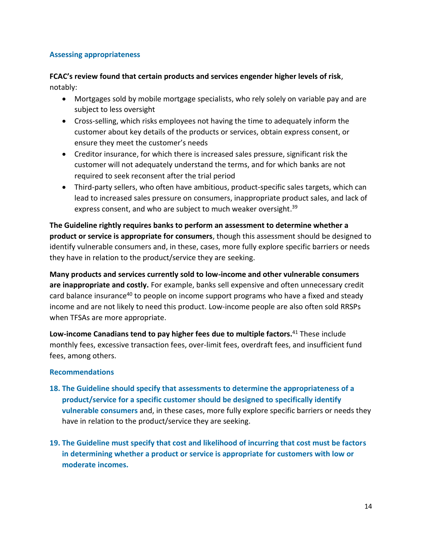#### **Assessing appropriateness**

**FCAC's review found that certain products and services engender higher levels of risk**, notably:

- Mortgages sold by mobile mortgage specialists, who rely solely on variable pay and are subject to less oversight
- Cross-selling, which risks employees not having the time to adequately inform the customer about key details of the products or services, obtain express consent, or ensure they meet the customer's needs
- Creditor insurance, for which there is increased sales pressure, significant risk the customer will not adequately understand the terms, and for which banks are not required to seek reconsent after the trial period
- Third-party sellers, who often have ambitious, product-specific sales targets, which can lead to increased sales pressure on consumers, inappropriate product sales, and lack of express consent, and who are subject to much weaker oversight.<sup>39</sup>

**The Guideline rightly requires banks to perform an assessment to determine whether a product or service is appropriate for consumers**, though this assessment should be designed to identify vulnerable consumers and, in these, cases, more fully explore specific barriers or needs they have in relation to the product/service they are seeking.

**Many products and services currently sold to low-income and other vulnerable consumers are inappropriate and costly.** For example, banks sell expensive and often unnecessary credit card balance insurance<sup>40</sup> to people on income support programs who have a fixed and steady income and are not likely to need this product. Low-income people are also often sold RRSPs when TFSAs are more appropriate.

**Low-income Canadians tend to pay higher fees due to multiple factors.**<sup>41</sup> These include monthly fees, excessive transaction fees, over-limit fees, overdraft fees, and insufficient fund fees, among others.

#### **Recommendations**

- **18. The Guideline should specify that assessments to determine the appropriateness of a product/service for a specific customer should be designed to specifically identify vulnerable consumers** and, in these cases, more fully explore specific barriers or needs they have in relation to the product/service they are seeking.
- **19. The Guideline must specify that cost and likelihood of incurring that cost must be factors in determining whether a product or service is appropriate for customers with low or moderate incomes.**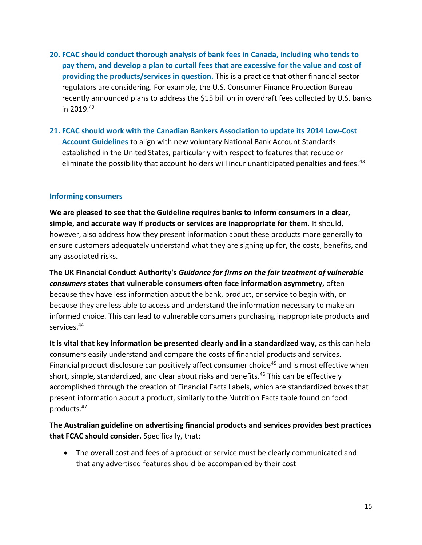- **20. FCAC should conduct thorough analysis of bank fees in Canada, including who tends to pay them, and develop a plan to curtail fees that are excessive for the value and cost of providing the products/services in question.** This is a practice that other financial sector regulators are considering. For example, the U.S. Consumer Finance Protection Bureau recently announced plans to address the \$15 billion in overdraft fees collected by U.S. banks in 2019. 42
- **21. FCAC should work with the Canadian Bankers Association to update its 2014 Low-Cost Account Guidelines** to align with new voluntary National Bank Account Standards established in the United States, particularly with respect to features that reduce or eliminate the possibility that account holders will incur unanticipated penalties and fees.<sup>43</sup>

#### **Informing consumers**

**We are pleased to see that the Guideline requires banks to inform consumers in a clear, simple, and accurate way if products or services are inappropriate for them.** It should, however, also address how they present information about these products more generally to ensure customers adequately understand what they are signing up for, the costs, benefits, and any associated risks.

**The UK Financial Conduct Authority's** *Guidance for firms on the fair treatment of vulnerable consumers* **states that vulnerable consumers often face information asymmetry,** often because they have less information about the bank, product, or service to begin with, or because they are less able to access and understand the information necessary to make an informed choice. This can lead to vulnerable consumers purchasing inappropriate products and services.<sup>44</sup>

**It is vital that key information be presented clearly and in a standardized way,** as this can help consumers easily understand and compare the costs of financial products and services. Financial product disclosure can positively affect consumer choice<sup>45</sup> and is most effective when short, simple, standardized, and clear about risks and benefits.<sup>46</sup> This can be effectively accomplished through the creation of Financial Facts Labels, which are standardized boxes that present information about a product, similarly to the Nutrition Facts table found on food products.<sup>47</sup>

**The Australian guideline on advertising financial products and services provides best practices that FCAC should consider.** Specifically, that:

• The overall cost and fees of a product or service must be clearly communicated and that any advertised features should be accompanied by their cost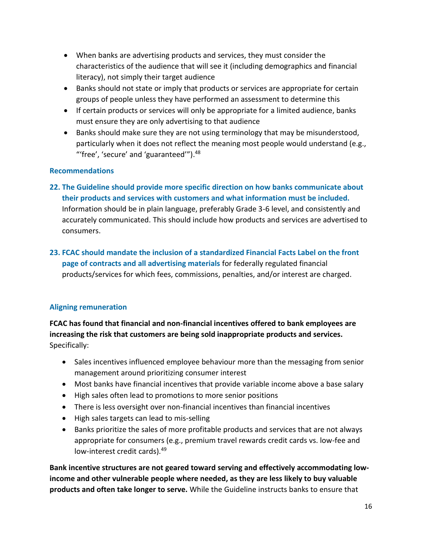- When banks are advertising products and services, they must consider the characteristics of the audience that will see it (including demographics and financial literacy), not simply their target audience
- Banks should not state or imply that products or services are appropriate for certain groups of people unless they have performed an assessment to determine this
- If certain products or services will only be appropriate for a limited audience, banks must ensure they are only advertising to that audience
- Banks should make sure they are not using terminology that may be misunderstood, particularly when it does not reflect the meaning most people would understand (e.g., "'free', 'secure' and 'guaranteed'").<sup>48</sup>

#### **Recommendations**

- **22. The Guideline should provide more specific direction on how banks communicate about their products and services with customers and what information must be included.**  Information should be in plain language, preferably Grade 3-6 level, and consistently and accurately communicated. This should include how products and services are advertised to consumers.
- **23. FCAC should mandate the inclusion of a standardized Financial Facts Label on the front page of contracts and all advertising materials** for federally regulated financial products/services for which fees, commissions, penalties, and/or interest are charged.

## **Aligning remuneration**

**FCAC has found that financial and non-financial incentives offered to bank employees are increasing the risk that customers are being sold inappropriate products and services.**  Specifically:

- Sales incentives influenced employee behaviour more than the messaging from senior management around prioritizing consumer interest
- Most banks have financial incentives that provide variable income above a base salary
- High sales often lead to promotions to more senior positions
- There is less oversight over non-financial incentives than financial incentives
- High sales targets can lead to mis-selling
- Banks prioritize the sales of more profitable products and services that are not always appropriate for consumers (e.g., premium travel rewards credit cards vs. low-fee and low-interest credit cards).<sup>49</sup>

**Bank incentive structures are not geared toward serving and effectively accommodating lowincome and other vulnerable people where needed, as they are less likely to buy valuable products and often take longer to serve.** While the Guideline instructs banks to ensure that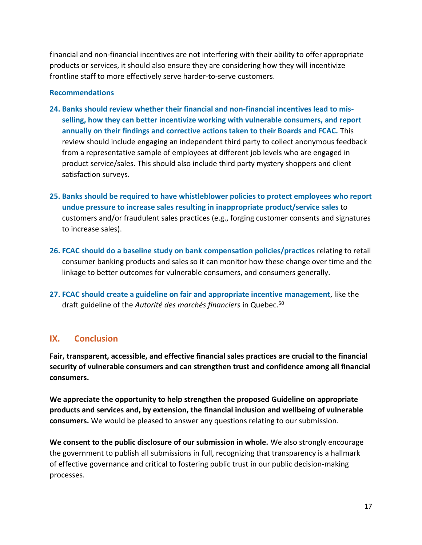financial and non-financial incentives are not interfering with their ability to offer appropriate products or services, it should also ensure they are considering how they will incentivize frontline staff to more effectively serve harder-to-serve customers.

#### **Recommendations**

- **24. Banks should review whether their financial and non-financial incentives lead to misselling, how they can better incentivize working with vulnerable consumers, and report annually on their findings and corrective actions taken to their Boards and FCAC.** This review should include engaging an independent third party to collect anonymous feedback from a representative sample of employees at different job levels who are engaged in product service/sales. This should also include third party mystery shoppers and client satisfaction surveys.
- **25. Banks should be required to have whistleblower policies to protect employees who report undue pressure to increase sales resulting in inappropriate product/service sales** to customers and/or fraudulent sales practices (e.g., forging customer consents and signatures to increase sales).
- **26. FCAC should do a baseline study on bank compensation policies/practices** relating to retail consumer banking products and sales so it can monitor how these change over time and the linkage to better outcomes for vulnerable consumers, and consumers generally.
- **27. FCAC should create a guideline on fair and appropriate incentive management**, like the draft guideline of the *Autorité des marchés financiers* in Quebec.<sup>50</sup>

## **IX. Conclusion**

**Fair, transparent, accessible, and effective financial sales practices are crucial to the financial security of vulnerable consumers and can strengthen trust and confidence among all financial consumers.** 

**We appreciate the opportunity to help strengthen the proposed Guideline on appropriate products and services and, by extension, the financial inclusion and wellbeing of vulnerable consumers.** We would be pleased to answer any questions relating to our submission.

**We consent to the public disclosure of our submission in whole.** We also strongly encourage the government to publish all submissions in full, recognizing that transparency is a hallmark of effective governance and critical to fostering public trust in our public decision-making processes.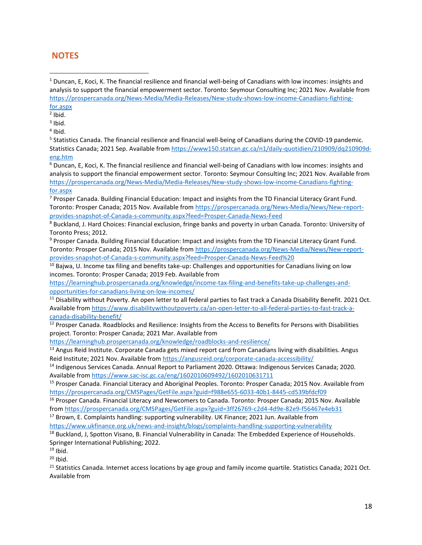## **NOTES**

<sup>5</sup> Statistics Canada. The financial resilience and financial well-being of Canadians during the COVID-19 pandemic. Statistics Canada; 2021 Sep. Available from [https://www150.statcan.gc.ca/n1/daily-quotidien/210909/dq210909d](https://www150.statcan.gc.ca/n1/daily-quotidien/210909/dq210909d-eng.htm)[eng.htm](https://www150.statcan.gc.ca/n1/daily-quotidien/210909/dq210909d-eng.htm)

<sup>6</sup> Duncan, E, Koci, K. The financial resilience and financial well-being of Canadians with low incomes: insights and analysis to support the financial empowerment sector. Toronto: Seymour Consulting Inc; 2021 Nov. Available from [https://prospercanada.org/News-Media/Media-Releases/New-study-shows-low-income-Canadians-fighting](https://prospercanada.org/News-Media/Media-Releases/New-study-shows-low-income-Canadians-fighting-for.aspx)[for.aspx](https://prospercanada.org/News-Media/Media-Releases/New-study-shows-low-income-Canadians-fighting-for.aspx)

<sup>7</sup> Prosper Canada. Building Financial Education: Impact and insights from the TD Financial Literacy Grant Fund. Toronto: Prosper Canada; 2015 Nov. Available fro[m https://prospercanada.org/News-Media/News/New-report](https://prospercanada.org/News-Media/News/New-report-provides-snapshot-of-Canada-s-community.aspx?feed=Prosper-Canada-News-Feed)[provides-snapshot-of-Canada-s-community.aspx?feed=Prosper-Canada-News-Feed](https://prospercanada.org/News-Media/News/New-report-provides-snapshot-of-Canada-s-community.aspx?feed=Prosper-Canada-News-Feed)

<sup>8</sup> Buckland, J. Hard Choices: Financial exclusion, fringe banks and poverty in urban Canada. Toronto: University of Toronto Press; 2012.

<sup>9</sup> Prosper Canada. Building Financial Education: Impact and insights from the TD Financial Literacy Grant Fund. Toronto: Prosper Canada; 2015 Nov. Available fro[m https://prospercanada.org/News-Media/News/New-report](https://prospercanada.org/News-Media/News/New-report-provides-snapshot-of-Canada-s-community.aspx?feed=Prosper-Canada-News-Feed%20)[provides-snapshot-of-Canada-s-community.aspx?feed=Prosper-Canada-News-Feed%20](https://prospercanada.org/News-Media/News/New-report-provides-snapshot-of-Canada-s-community.aspx?feed=Prosper-Canada-News-Feed%20)

<sup>10</sup> Bajwa, U. Income tax filing and benefits take-up: Challenges and opportunities for Canadians living on low incomes. Toronto: Prosper Canada; 2019 Feb. Available from

[https://learninghub.prospercanada.org/knowledge/income-tax-filing-and-benefits-take-up-challenges-and](https://learninghub.prospercanada.org/knowledge/income-tax-filing-and-benefits-take-up-challenges-and-opportunities-for-canadians-living-on-low-incomes/)[opportunities-for-canadians-living-on-low-incomes/](https://learninghub.prospercanada.org/knowledge/income-tax-filing-and-benefits-take-up-challenges-and-opportunities-for-canadians-living-on-low-incomes/)

<sup>11</sup> Disability without Poverty. An open letter to all federal parties to fast track a Canada Disability Benefit. 2021 Oct. Available from [https://www.disabilitywithoutpoverty.ca/an-open-letter-to-all-federal-parties-to-fast-track-a](https://www.disabilitywithoutpoverty.ca/an-open-letter-to-all-federal-parties-to-fast-track-a-canada-disability-benefit/)[canada-disability-benefit/](https://www.disabilitywithoutpoverty.ca/an-open-letter-to-all-federal-parties-to-fast-track-a-canada-disability-benefit/)

<sup>12</sup> Prosper Canada. Roadblocks and Resilience: Insights from the Access to Benefits for Persons with Disabilities project. Toronto: Prosper Canada; 2021 Mar. Available from

<https://learninghub.prospercanada.org/knowledge/roadblocks-and-resilience/>

<sup>13</sup> Angus Reid Institute. Corporate Canada gets mixed report card from Canadians living with disabilities. Angus Reid Institute; 2021 Nov. Available from<https://angusreid.org/corporate-canada-accessibility/>

<sup>14</sup> Indigenous Services Canada. Annual Report to Parliament 2020. Ottawa: Indigenous Services Canada; 2020. Available from<https://www.sac-isc.gc.ca/eng/1602010609492/1602010631711>

<sup>15</sup> Prosper Canada. Financial Literacy and Aboriginal Peoples. Toronto: Prosper Canada; 2015 Nov. Available from <https://prospercanada.org/CMSPages/GetFile.aspx?guid=f988e655-6033-40b1-8445-cd539bfdcf09>

<sup>16</sup> Prosper Canada. Financial Literacy and Newcomers to Canada. Toronto: Prosper Canada; 2015 Nov. Available from<https://prospercanada.org/CMSPages/GetFile.aspx?guid=3ff26769-c2d4-4d9e-82e9-f56467e4eb31>

<sup>17</sup> Brown, E. Complaints handling: supporting vulnerability. UK Finance; 2021 Jun. Available from

<https://www.ukfinance.org.uk/news-and-insight/blogs/complaints-handling-supporting-vulnerability>

<sup>18</sup> Buckland, J, Spotton Visano, B. Financial Vulnerability in Canada: The Embedded Experience of Households. Springer International Publishing; 2022.

 $19$  Ibid.

 $20$  Ibid.

 $21$  Statistics Canada. Internet access locations by age group and family income quartile. Statistics Canada; 2021 Oct. Available from

 $1$  Duncan, E, Koci, K. The financial resilience and financial well-being of Canadians with low incomes: insights and analysis to support the financial empowerment sector. Toronto: Seymour Consulting Inc; 2021 Nov. Available from [https://prospercanada.org/News-Media/Media-Releases/New-study-shows-low-income-Canadians-fighting](https://prospercanada.org/News-Media/Media-Releases/New-study-shows-low-income-Canadians-fighting-for.aspx)[for.aspx](https://prospercanada.org/News-Media/Media-Releases/New-study-shows-low-income-Canadians-fighting-for.aspx)

 $<sup>2</sup>$  Ibid.</sup>

 $3$  Ibid.

<sup>4</sup> Ibid.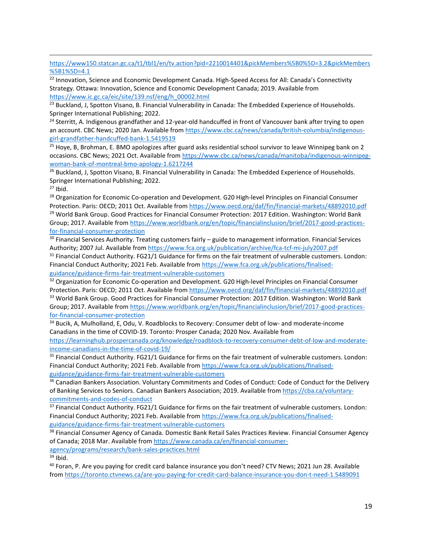[https://www150.statcan.gc.ca/t1/tbl1/en/tv.action?pid=2210014401&pickMembers%5B0%5D=3.2&pickMembers](https://www150.statcan.gc.ca/t1/tbl1/en/tv.action?pid=2210014401&pickMembers%5B0%5D=3.2&pickMembers%5B1%5D=4.1) [%5B1%5D=4.1](https://www150.statcan.gc.ca/t1/tbl1/en/tv.action?pid=2210014401&pickMembers%5B0%5D=3.2&pickMembers%5B1%5D=4.1)

<sup>22</sup> Innovation, Science and Economic Development Canada. High-Speed Access for All: Canada's Connectivity Strategy. Ottawa: Innovation, Science and Economic Development Canada; 2019. Available from [https://www.ic.gc.ca/eic/site/139.nsf/eng/h\\_00002.html](https://www.ic.gc.ca/eic/site/139.nsf/eng/h_00002.html)

<sup>23</sup> Buckland, J, Spotton Visano, B. Financial Vulnerability in Canada: The Embedded Experience of Households. Springer International Publishing; 2022.

<sup>24</sup> Sterritt, A. Indigenous grandfather and 12-year-old handcuffed in front of Vancouver bank after trying to open an account. CBC News; 2020 Jan. Available from [https://www.cbc.ca/news/canada/british-columbia/indigenous](https://www.cbc.ca/news/canada/british-columbia/indigenous-girl-grandfather-handcuffed-bank-1.5419519)[girl-grandfather-handcuffed-bank-1.5419519](https://www.cbc.ca/news/canada/british-columbia/indigenous-girl-grandfather-handcuffed-bank-1.5419519)

<sup>25</sup> Hoye, B, Brohman, E. BMO apologizes after guard asks residential school survivor to leave Winnipeg bank on 2 occasions. CBC News; 2021 Oct. Available fro[m https://www.cbc.ca/news/canada/manitoba/indigenous-winnipeg](https://www.cbc.ca/news/canada/manitoba/indigenous-winnipeg-woman-bank-of-montreal-bmo-apology-1.6217244)[woman-bank-of-montreal-bmo-apology-1.6217244](https://www.cbc.ca/news/canada/manitoba/indigenous-winnipeg-woman-bank-of-montreal-bmo-apology-1.6217244)

<sup>26</sup> Buckland, J, Spotton Visano, B. Financial Vulnerability in Canada: The Embedded Experience of Households. Springer International Publishing; 2022.

 $27$  Ibid.

<sup>28</sup> Organization for Economic Co-operation and Development. G20 High-level Principles on Financial Consumer Protection. Paris: OECD; 2011 Oct. Available from<https://www.oecd.org/daf/fin/financial-markets/48892010.pdf> <sup>29</sup> World Bank Group. Good Practices for Financial Consumer Protection: 2017 Edition. Washington: World Bank Group; 2017. Available from [https://www.worldbank.org/en/topic/financialinclusion/brief/2017-good-practices](https://www.worldbank.org/en/topic/financialinclusion/brief/2017-good-practices-for-financial-consumer-protection)[for-financial-consumer-protection](https://www.worldbank.org/en/topic/financialinclusion/brief/2017-good-practices-for-financial-consumer-protection)

30 Financial Services Authority. Treating customers fairly - guide to management information. Financial Services Authority; 2007 Jul. Available from<https://www.fca.org.uk/publication/archive/fca-tcf-mi-july2007.pdf>

<sup>31</sup> Financial Conduct Authority. FG21/1 Guidance for firms on the fair treatment of vulnerable customers. London: Financial Conduct Authority; 2021 Feb. Available from [https://www.fca.org.uk/publications/finalised](https://www.fca.org.uk/publications/finalised-guidance/guidance-firms-fair-treatment-vulnerable-customers)[guidance/guidance-firms-fair-treatment-vulnerable-customers](https://www.fca.org.uk/publications/finalised-guidance/guidance-firms-fair-treatment-vulnerable-customers)

<sup>32</sup> Organization for Economic Co-operation and Development. G20 High-level Principles on Financial Consumer Protection. Paris: OECD; 2011 Oct. Available from<https://www.oecd.org/daf/fin/financial-markets/48892010.pdf> <sup>33</sup> World Bank Group. Good Practices for Financial Consumer Protection: 2017 Edition. Washington: World Bank Group; 2017. Available from [https://www.worldbank.org/en/topic/financialinclusion/brief/2017-good-practices](https://www.worldbank.org/en/topic/financialinclusion/brief/2017-good-practices-for-financial-consumer-protection)[for-financial-consumer-protection](https://www.worldbank.org/en/topic/financialinclusion/brief/2017-good-practices-for-financial-consumer-protection)

<sup>34</sup> Bucik, A, Mulholland, E, Odu, V. Roadblocks to Recovery: Consumer debt of low- and moderate-income Canadians in the time of COVID-19. Toronto: Prosper Canada; 2020 Nov. Available from

[https://learninghub.prospercanada.org/knowledge/roadblock-to-recovery-consumer-debt-of-low-and-moderate](https://learninghub.prospercanada.org/knowledge/roadblock-to-recovery-consumer-debt-of-low-and-moderate-income-canadians-in-the-time-of-covid-19/)[income-canadians-in-the-time-of-covid-19/](https://learninghub.prospercanada.org/knowledge/roadblock-to-recovery-consumer-debt-of-low-and-moderate-income-canadians-in-the-time-of-covid-19/)

<sup>35</sup> Financial Conduct Authority. FG21/1 Guidance for firms on the fair treatment of vulnerable customers. London: Financial Conduct Authority; 2021 Feb. Available from [https://www.fca.org.uk/publications/finalised](https://www.fca.org.uk/publications/finalised-guidance/guidance-firms-fair-treatment-vulnerable-customers)[guidance/guidance-firms-fair-treatment-vulnerable-customers](https://www.fca.org.uk/publications/finalised-guidance/guidance-firms-fair-treatment-vulnerable-customers)

<sup>36</sup> Canadian Bankers Association. Voluntary Commitments and Codes of Conduct: Code of Conduct for the Delivery of Banking Services to Seniors. Canadian Bankers Association; 2019. Available from [https://cba.ca/voluntary](https://cba.ca/voluntary-commitments-and-codes-of-conduct)[commitments-and-codes-of-conduct](https://cba.ca/voluntary-commitments-and-codes-of-conduct)

<sup>37</sup> Financial Conduct Authority. FG21/1 Guidance for firms on the fair treatment of vulnerable customers. London: Financial Conduct Authority; 2021 Feb. Available from [https://www.fca.org.uk/publications/finalised](https://www.fca.org.uk/publications/finalised-guidance/guidance-firms-fair-treatment-vulnerable-customers)[guidance/guidance-firms-fair-treatment-vulnerable-customers](https://www.fca.org.uk/publications/finalised-guidance/guidance-firms-fair-treatment-vulnerable-customers)

<sup>38</sup> Financial Consumer Agency of Canada. Domestic Bank Retail Sales Practices Review. Financial Consumer Agency of Canada; 2018 Mar. Available from [https://www.canada.ca/en/financial-consumer](https://www.canada.ca/en/financial-consumer-agency/programs/research/bank-sales-practices.html)[agency/programs/research/bank-sales-practices.html](https://www.canada.ca/en/financial-consumer-agency/programs/research/bank-sales-practices.html)

 $39$  Ibid.

<sup>40</sup> Foran, P. Are you paying for credit card balance insurance you don't need? CTV News; 2021 Jun 28. Available from<https://toronto.ctvnews.ca/are-you-paying-for-credit-card-balance-insurance-you-don-t-need-1.5489091>